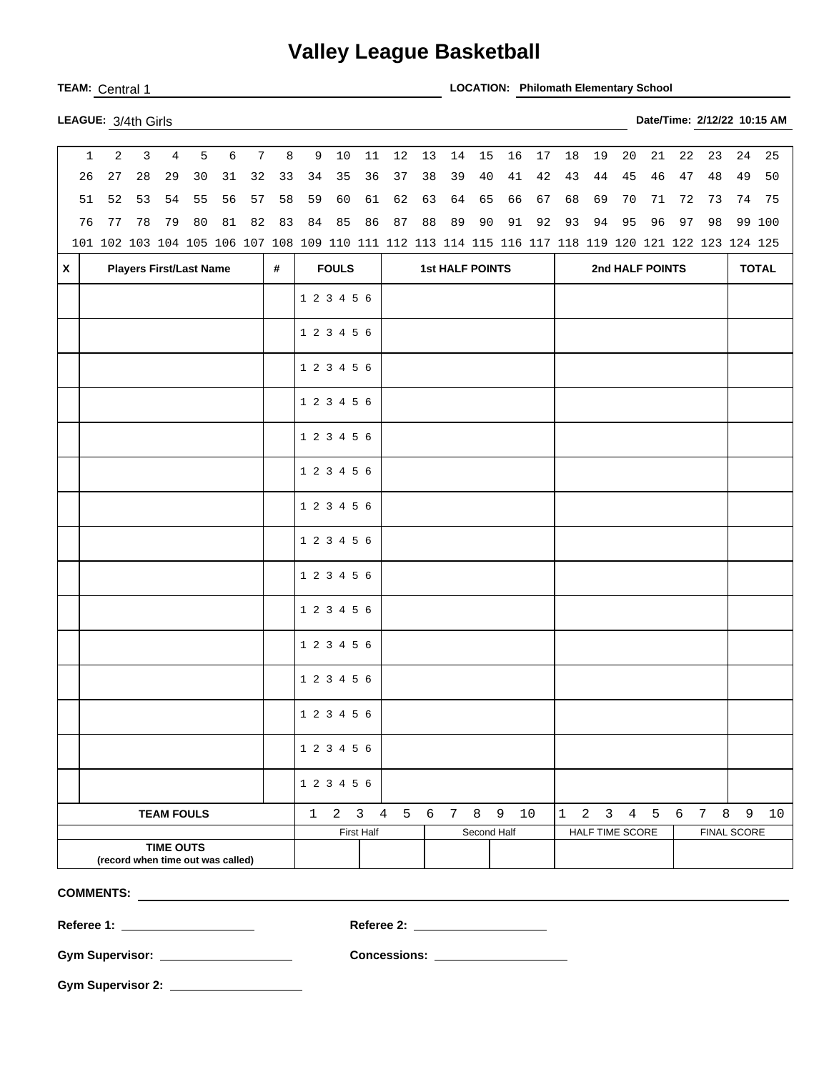## **Valley League Basketball**

**TEAM:** Central 1 **LOCATION: Philomath Elementary School** 

| LEAGUE: 3/4th Girls |  |
|---------------------|--|

| 27<br>28<br>29<br>30<br>37<br>39<br>40<br>41<br>42<br>46<br>48<br>49<br>26<br>31<br>32<br>33<br>34<br>35<br>36<br>38<br>43<br>44<br>45<br>47<br>52<br>53<br>54<br>55<br>56<br>57<br>62<br>64<br>65<br>66<br>67<br>68<br>51<br>58<br>59<br>60<br>61<br>63<br>69<br>70<br>71<br>72<br>73<br>74<br>77<br>78<br>80<br>$8\,1$<br>82<br>83<br>84<br>85<br>86<br>87<br>88<br>89<br>90<br>91<br>92<br>93<br>94<br>95<br>96<br>98<br>76<br>79<br>97<br>101 102 103 104 105 106 107 108 109 110 111 112 113 114 115 116 117 118 119 120 121 122 123 124 125<br><b>FOULS</b><br><b>Players First/Last Name</b><br><b>1st HALF POINTS</b><br>2nd HALF POINTS<br>X<br>#<br>1 2 3 4 5 6<br>1 2 3 4 5 6<br>1 2 3 4 5 6<br>1 2 3 4 5 6<br>1 2 3 4 5 6<br>1 2 3 4 5 6<br>1 2 3 4 5 6<br>1 2 3 4 5 6<br>1 2 3 4 5 6<br>1 2 3 4 5 6<br>1 2 3 4 5 6<br>1 2 3 4 5 6<br>1 2 3 4 5 6<br>1 2 3 4 5 6<br>1 2 3 4 5 6<br>$1 \quad 2 \quad 3$<br>4 5 6 7 8 9<br>8<br>10<br>$\mathbf{1}$<br>2 3 4 5 6<br>$7\overline{ }$<br>9<br><b>TEAM FOULS</b><br><b>FINAL SCORE</b><br>Second Half<br>HALF TIME SCORE | 2<br>6<br>3<br>$\overline{4}$<br>5<br>$7\overline{ }$<br>$\mathbf{1}$ |  |  |  | 8 | 9 | 10 | 11 | 12 | 13         | 14 | 15 | 16 | $17$ | 18 | 19 | 20 | 21 | 22           | 23 | 24 | 25 |    |  |        |
|--------------------------------------------------------------------------------------------------------------------------------------------------------------------------------------------------------------------------------------------------------------------------------------------------------------------------------------------------------------------------------------------------------------------------------------------------------------------------------------------------------------------------------------------------------------------------------------------------------------------------------------------------------------------------------------------------------------------------------------------------------------------------------------------------------------------------------------------------------------------------------------------------------------------------------------------------------------------------------------------------------------------------------------------------------------------------------|-----------------------------------------------------------------------|--|--|--|---|---|----|----|----|------------|----|----|----|------|----|----|----|----|--------------|----|----|----|----|--|--------|
|                                                                                                                                                                                                                                                                                                                                                                                                                                                                                                                                                                                                                                                                                                                                                                                                                                                                                                                                                                                                                                                                                |                                                                       |  |  |  |   |   |    |    |    |            |    |    |    |      |    |    |    |    |              |    |    |    |    |  | 50     |
|                                                                                                                                                                                                                                                                                                                                                                                                                                                                                                                                                                                                                                                                                                                                                                                                                                                                                                                                                                                                                                                                                |                                                                       |  |  |  |   |   |    |    |    |            |    |    |    |      |    |    |    |    |              |    |    |    |    |  | 75     |
|                                                                                                                                                                                                                                                                                                                                                                                                                                                                                                                                                                                                                                                                                                                                                                                                                                                                                                                                                                                                                                                                                |                                                                       |  |  |  |   |   |    |    |    |            |    |    |    |      |    |    |    |    |              |    |    |    |    |  | 99 100 |
|                                                                                                                                                                                                                                                                                                                                                                                                                                                                                                                                                                                                                                                                                                                                                                                                                                                                                                                                                                                                                                                                                |                                                                       |  |  |  |   |   |    |    |    |            |    |    |    |      |    |    |    |    |              |    |    |    |    |  |        |
|                                                                                                                                                                                                                                                                                                                                                                                                                                                                                                                                                                                                                                                                                                                                                                                                                                                                                                                                                                                                                                                                                |                                                                       |  |  |  |   |   |    |    |    |            |    |    |    |      |    |    |    |    | <b>TOTAL</b> |    |    |    |    |  |        |
|                                                                                                                                                                                                                                                                                                                                                                                                                                                                                                                                                                                                                                                                                                                                                                                                                                                                                                                                                                                                                                                                                |                                                                       |  |  |  |   |   |    |    |    |            |    |    |    |      |    |    |    |    |              |    |    |    |    |  |        |
|                                                                                                                                                                                                                                                                                                                                                                                                                                                                                                                                                                                                                                                                                                                                                                                                                                                                                                                                                                                                                                                                                |                                                                       |  |  |  |   |   |    |    |    |            |    |    |    |      |    |    |    |    |              |    |    |    |    |  |        |
|                                                                                                                                                                                                                                                                                                                                                                                                                                                                                                                                                                                                                                                                                                                                                                                                                                                                                                                                                                                                                                                                                |                                                                       |  |  |  |   |   |    |    |    |            |    |    |    |      |    |    |    |    |              |    |    |    |    |  |        |
|                                                                                                                                                                                                                                                                                                                                                                                                                                                                                                                                                                                                                                                                                                                                                                                                                                                                                                                                                                                                                                                                                |                                                                       |  |  |  |   |   |    |    |    |            |    |    |    |      |    |    |    |    |              |    |    |    |    |  |        |
|                                                                                                                                                                                                                                                                                                                                                                                                                                                                                                                                                                                                                                                                                                                                                                                                                                                                                                                                                                                                                                                                                |                                                                       |  |  |  |   |   |    |    |    |            |    |    |    |      |    |    |    |    |              |    |    |    |    |  |        |
|                                                                                                                                                                                                                                                                                                                                                                                                                                                                                                                                                                                                                                                                                                                                                                                                                                                                                                                                                                                                                                                                                |                                                                       |  |  |  |   |   |    |    |    |            |    |    |    |      |    |    |    |    |              |    |    |    |    |  |        |
|                                                                                                                                                                                                                                                                                                                                                                                                                                                                                                                                                                                                                                                                                                                                                                                                                                                                                                                                                                                                                                                                                |                                                                       |  |  |  |   |   |    |    |    |            |    |    |    |      |    |    |    |    |              |    |    |    |    |  |        |
|                                                                                                                                                                                                                                                                                                                                                                                                                                                                                                                                                                                                                                                                                                                                                                                                                                                                                                                                                                                                                                                                                |                                                                       |  |  |  |   |   |    |    |    |            |    |    |    |      |    |    |    |    |              |    |    |    |    |  |        |
|                                                                                                                                                                                                                                                                                                                                                                                                                                                                                                                                                                                                                                                                                                                                                                                                                                                                                                                                                                                                                                                                                |                                                                       |  |  |  |   |   |    |    |    |            |    |    |    |      |    |    |    |    |              |    |    |    |    |  |        |
|                                                                                                                                                                                                                                                                                                                                                                                                                                                                                                                                                                                                                                                                                                                                                                                                                                                                                                                                                                                                                                                                                |                                                                       |  |  |  |   |   |    |    |    |            |    |    |    |      |    |    |    |    |              |    |    |    |    |  |        |
|                                                                                                                                                                                                                                                                                                                                                                                                                                                                                                                                                                                                                                                                                                                                                                                                                                                                                                                                                                                                                                                                                |                                                                       |  |  |  |   |   |    |    |    |            |    |    |    |      |    |    |    |    |              |    |    |    |    |  |        |
|                                                                                                                                                                                                                                                                                                                                                                                                                                                                                                                                                                                                                                                                                                                                                                                                                                                                                                                                                                                                                                                                                |                                                                       |  |  |  |   |   |    |    |    |            |    |    |    |      |    |    |    |    |              |    |    |    |    |  |        |
|                                                                                                                                                                                                                                                                                                                                                                                                                                                                                                                                                                                                                                                                                                                                                                                                                                                                                                                                                                                                                                                                                |                                                                       |  |  |  |   |   |    |    |    |            |    |    |    |      |    |    |    |    |              |    |    |    |    |  |        |
|                                                                                                                                                                                                                                                                                                                                                                                                                                                                                                                                                                                                                                                                                                                                                                                                                                                                                                                                                                                                                                                                                |                                                                       |  |  |  |   |   |    |    |    |            |    |    |    |      |    |    |    |    |              |    |    |    |    |  |        |
|                                                                                                                                                                                                                                                                                                                                                                                                                                                                                                                                                                                                                                                                                                                                                                                                                                                                                                                                                                                                                                                                                |                                                                       |  |  |  |   |   |    |    |    |            |    |    |    |      |    |    |    |    |              |    |    |    |    |  |        |
|                                                                                                                                                                                                                                                                                                                                                                                                                                                                                                                                                                                                                                                                                                                                                                                                                                                                                                                                                                                                                                                                                |                                                                       |  |  |  |   |   |    |    |    |            |    |    |    |      |    |    |    |    |              |    |    |    | 10 |  |        |
|                                                                                                                                                                                                                                                                                                                                                                                                                                                                                                                                                                                                                                                                                                                                                                                                                                                                                                                                                                                                                                                                                |                                                                       |  |  |  |   |   |    |    |    | First Half |    |    |    |      |    |    |    |    |              |    |    |    |    |  |        |
| <b>TIME OUTS</b><br>(record when time out was called)                                                                                                                                                                                                                                                                                                                                                                                                                                                                                                                                                                                                                                                                                                                                                                                                                                                                                                                                                                                                                          |                                                                       |  |  |  |   |   |    |    |    |            |    |    |    |      |    |    |    |    |              |    |    |    |    |  |        |

**COMMENTS:** 

**Referee 1: Referee 2:** 

**Gym Supervisor: Concessions:** 

**Gym Supervisor 2:** 

**LEAGUE:** 3/4th Girls **Date/Time: 2/12/22 10:15 AM**